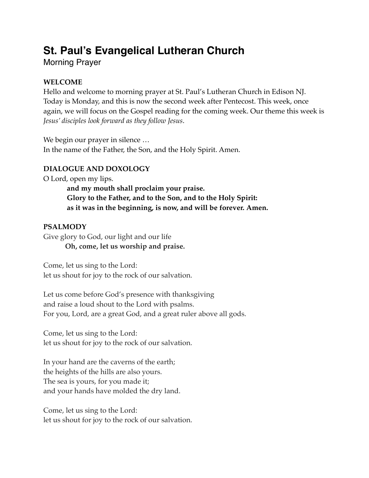# **St. Paul's Evangelical Lutheran Church**

Morning Prayer

# **WELCOME**

Hello and welcome to morning prayer at St. Paul's Lutheran Church in Edison NJ. Today is Monday, and this is now the second week after Pentecost. This week, once again, we will focus on the Gospel reading for the coming week. Our theme this week is *Jesus' disciples look forward as they follow Jesus*.

We begin our prayer in silence … In the name of the Father, the Son, and the Holy Spirit. Amen.

# **DIALOGUE AND DOXOLOGY**

O Lord, open my lips.

**and my mouth shall proclaim your praise. Glory to the Father, and to the Son, and to the Holy Spirit: as it was in the beginning, is now, and will be forever. Amen.**

# **PSALMODY**

Give glory to God, our light and our life **Oh, come, let us worship and praise.**

Come, let us sing to the Lord: let us shout for joy to the rock of our salvation.

Let us come before God's presence with thanksgiving and raise a loud shout to the Lord with psalms. For you, Lord, are a great God, and a great ruler above all gods.

Come, let us sing to the Lord: let us shout for joy to the rock of our salvation.

In your hand are the caverns of the earth; the heights of the hills are also yours. The sea is yours, for you made it; and your hands have molded the dry land.

Come, let us sing to the Lord: let us shout for joy to the rock of our salvation.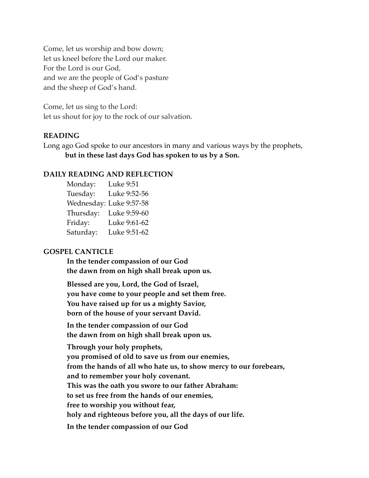Come, let us worship and bow down; let us kneel before the Lord our maker. For the Lord is our God, and we are the people of God's pasture and the sheep of God's hand.

Come, let us sing to the Lord: let us shout for joy to the rock of our salvation.

## **READING**

Long ago God spoke to our ancestors in many and various ways by the prophets, **but in these last days God has spoken to us by a Son.**

#### **DAILY READING AND REFLECTION**

Monday: Luke 9:51 Tuesday: Luke 9:52-56 Wednesday: Luke 9:57-58 Thursday: Luke 9:59-60 Friday: Luke 9:61-62 Saturday: Luke 9:51-62

#### **GOSPEL CANTICLE**

**In the tender compassion of our God the dawn from on high shall break upon us.**

**Blessed are you, Lord, the God of Israel, you have come to your people and set them free. You have raised up for us a mighty Savior, born of the house of your servant David.**

**In the tender compassion of our God the dawn from on high shall break upon us.**

**Through your holy prophets, you promised of old to save us from our enemies, from the hands of all who hate us, to show mercy to our forebears, and to remember your holy covenant. This was the oath you swore to our father Abraham: to set us free from the hands of our enemies, free to worship you without fear, holy and righteous before you, all the days of our life. In the tender compassion of our God**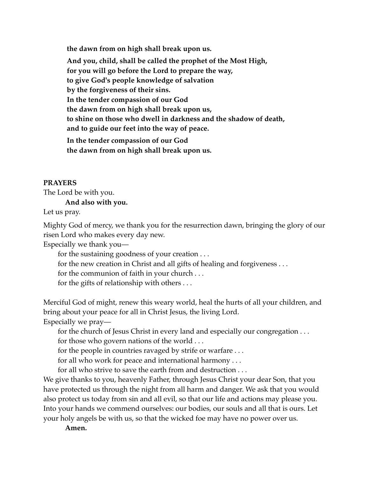**the dawn from on high shall break upon us.**

**And you, child, shall be called the prophet of the Most High, for you will go before the Lord to prepare the way, to give God's people knowledge of salvation by the forgiveness of their sins. In the tender compassion of our God the dawn from on high shall break upon us, to shine on those who dwell in darkness and the shadow of death, and to guide our feet into the way of peace.**

**In the tender compassion of our God the dawn from on high shall break upon us.**

## **PRAYERS**

The Lord be with you.

#### **And also with you.**

Let us pray.

Mighty God of mercy, we thank you for the resurrection dawn, bringing the glory of our risen Lord who makes every day new.

Especially we thank you—

for the sustaining goodness of your creation . . .

for the new creation in Christ and all gifts of healing and forgiveness . . .

for the communion of faith in your church . . .

for the gifts of relationship with others . . .

Merciful God of might, renew this weary world, heal the hurts of all your children, and bring about your peace for all in Christ Jesus, the living Lord.

Especially we pray—

for the church of Jesus Christ in every land and especially our congregation . . .

for those who govern nations of the world . . .

for the people in countries ravaged by strife or warfare . . .

for all who work for peace and international harmony . . .

for all who strive to save the earth from and destruction . . .

We give thanks to you, heavenly Father, through Jesus Christ your dear Son, that you have protected us through the night from all harm and danger. We ask that you would also protect us today from sin and all evil, so that our life and actions may please you. Into your hands we commend ourselves: our bodies, our souls and all that is ours. Let your holy angels be with us, so that the wicked foe may have no power over us.

**Amen.**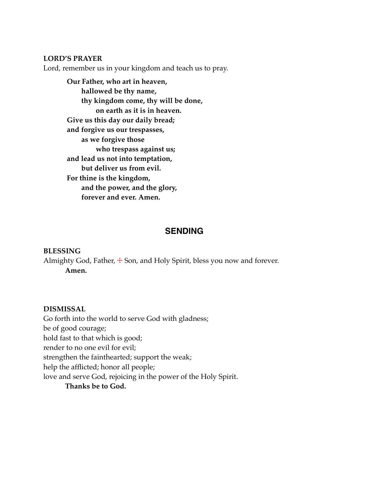#### **LORD'S PRAYER**

Lord, remember us in your kingdom and teach us to pray.

**Our Father, who art in heaven, hallowed be thy name, thy kingdom come, thy will be done, on earth as it is in heaven. Give us this day our daily bread; and forgive us our trespasses, as we forgive those who trespass against us; and lead us not into temptation, but deliver us from evil. For thine is the kingdom, and the power, and the glory, forever and ever. Amen.**

# **SENDING**

#### **BLESSING**

Almighty God, Father,  $\pm$  Son, and Holy Spirit, bless you now and forever. **Amen.**

#### **DISMISSAL**

Go forth into the world to serve God with gladness; be of good courage; hold fast to that which is good; render to no one evil for evil; strengthen the fainthearted; support the weak; help the afflicted; honor all people; love and serve God, rejoicing in the power of the Holy Spirit.

**Thanks be to God.**